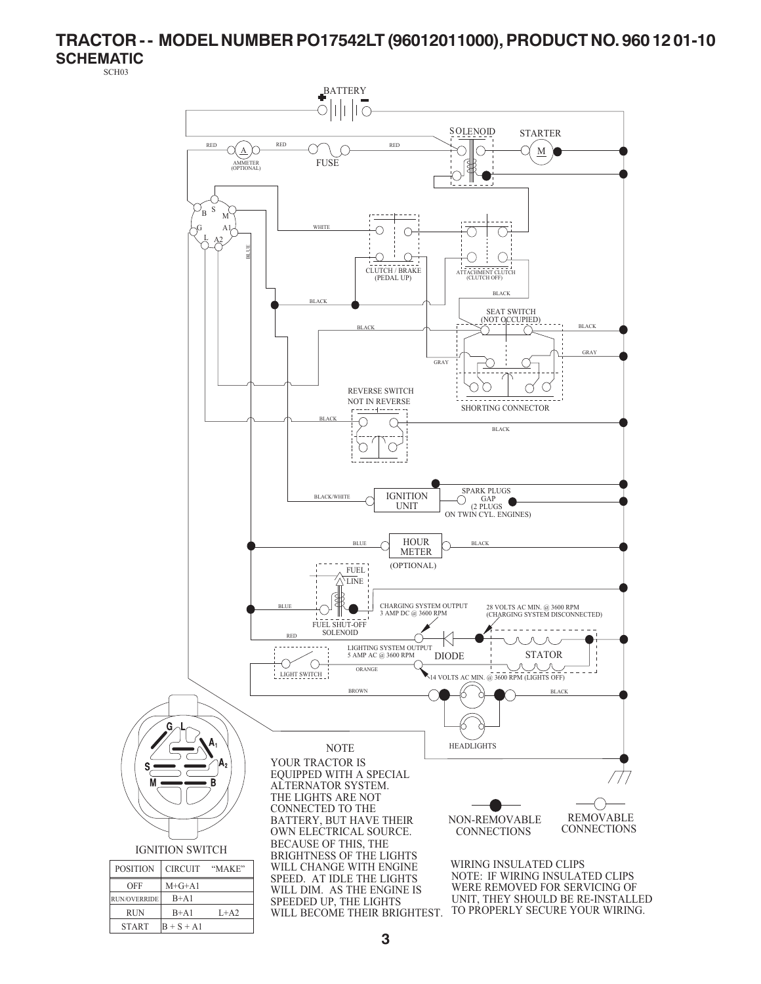# **TRACTOR - - MODEL NUMBER PO17542LT (96012011000), PRODUCT NO. 960 12 01-10**

**SCHEMATIC** SCH03

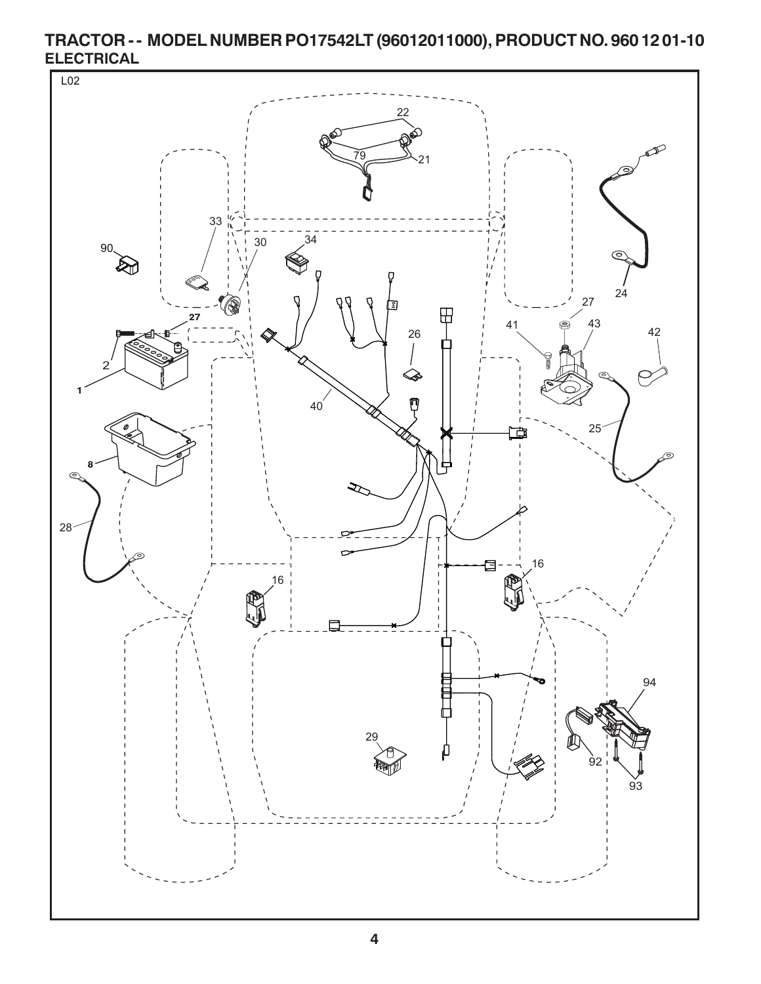

**TRACTOR - - MODEL NUMBER PO17542LT (96012011000), PRODUCT NO. 960 12 01-10 ELECTRICAL**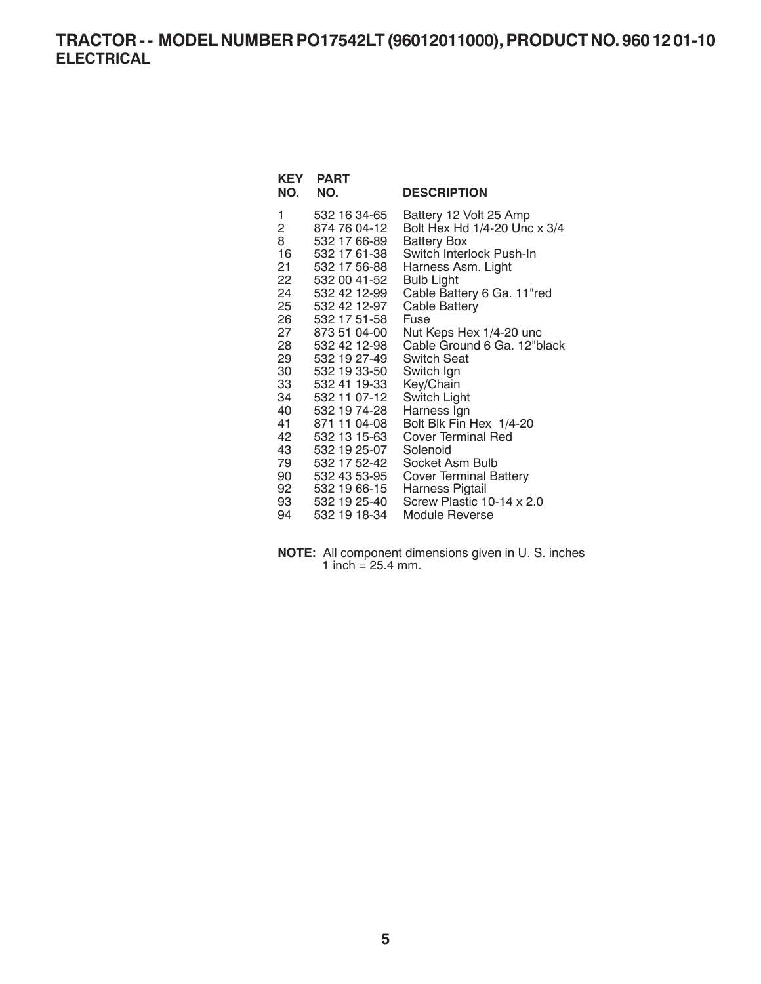## **TRACTOR - - MODEL NUMBER PO17542LT (96012011000), PRODUCT NO. 960 12 01-10 ELECTRICAL**

| NO.            | <b>KEY PART</b><br>NO.       | <b>DESCRIPTION</b>            |
|----------------|------------------------------|-------------------------------|
| 1              | 532 16 34-65                 | Battery 12 Volt 25 Amp        |
| $\overline{2}$ | 874 76 04-12                 | Bolt Hex Hd 1/4-20 Unc x 3/4  |
| 8              | 532 17 66-89                 | Battery Box                   |
| 16             | 532 17 61-38                 | Switch Interlock Push-In      |
| 21             | 532 17 56-88                 | Harness Asm. Light            |
|                | 22 532 00 41-52              | Bulb Light                    |
| 24             | 532 42 12-99                 | Cable Battery 6 Ga. 11"red    |
| 25 —<br>26 —   | 532 42 12-97<br>532 17 51-58 | Cable Battery<br>Fuse         |
| 27 —           | 873 51 04-00                 | Nut Keps Hex 1/4-20 unc       |
| 28 —           | 532 42 12-98                 | Cable Ground 6 Ga. 12"black   |
| 29             | 532 19 27-49                 | <b>Switch Seat</b>            |
| 30             | 532 19 33-50                 | Switch Ign                    |
| 33             | 532 41 19-33                 | Key/Chain                     |
| 34             | 532 11 07-12                 | Switch Light                  |
| 40             | 532 19 74-28                 | Harness Ign                   |
| 41             | 871 11 04-08                 | Bolt Blk Fin Hex 1/4-20       |
| 42             | 532 13 15-63                 | <b>Cover Terminal Red</b>     |
| 43             | 532 19 25-07                 | Solenoid                      |
| 79             | 532 17 52-42                 | Socket Asm Bulb               |
| 90 —           | 532 43 53-95                 | <b>Cover Terminal Battery</b> |
|                | 92 532 19 66-15              | Harness Pigtail               |
| 93             | 532 19 25-40                 | Screw Plastic 10-14 x 2.0     |
| 94             | 532 19 18-34                 | Module Reverse                |

**NOTE:** All component dimensions given in U. S. inches 1 inch =  $25.4$  mm.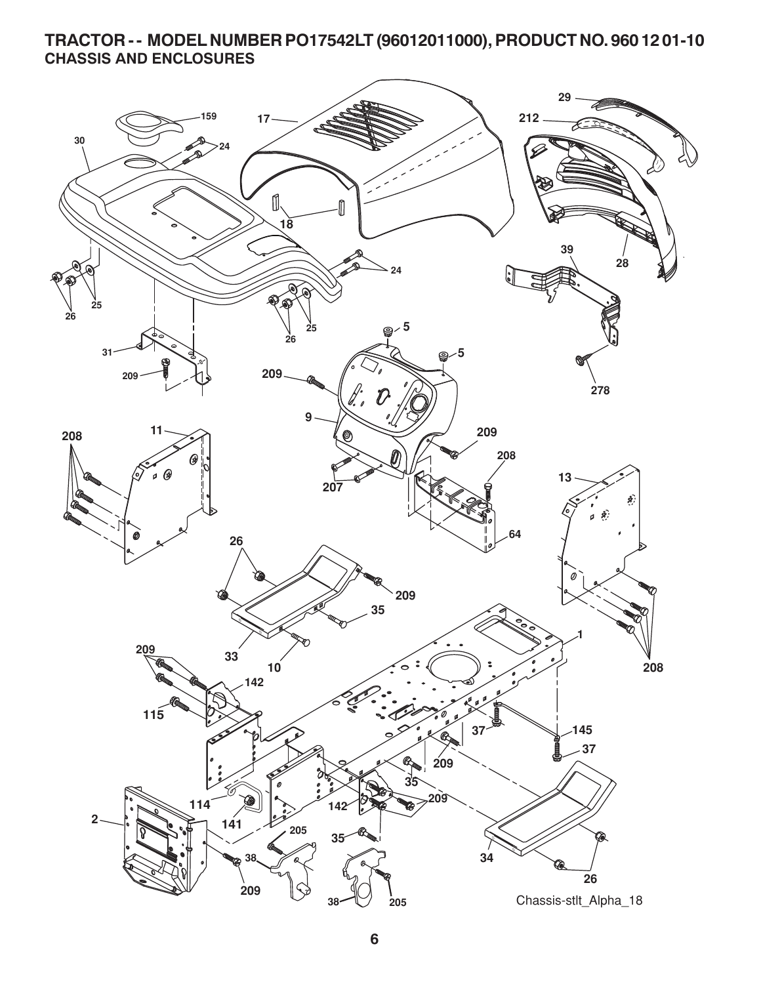### **TRACTOR - - MODEL NUMBER PO17542LT (96012011000), PRODUCT NO. 960 12 01-10 CHASSIS AND ENCLOSURES**

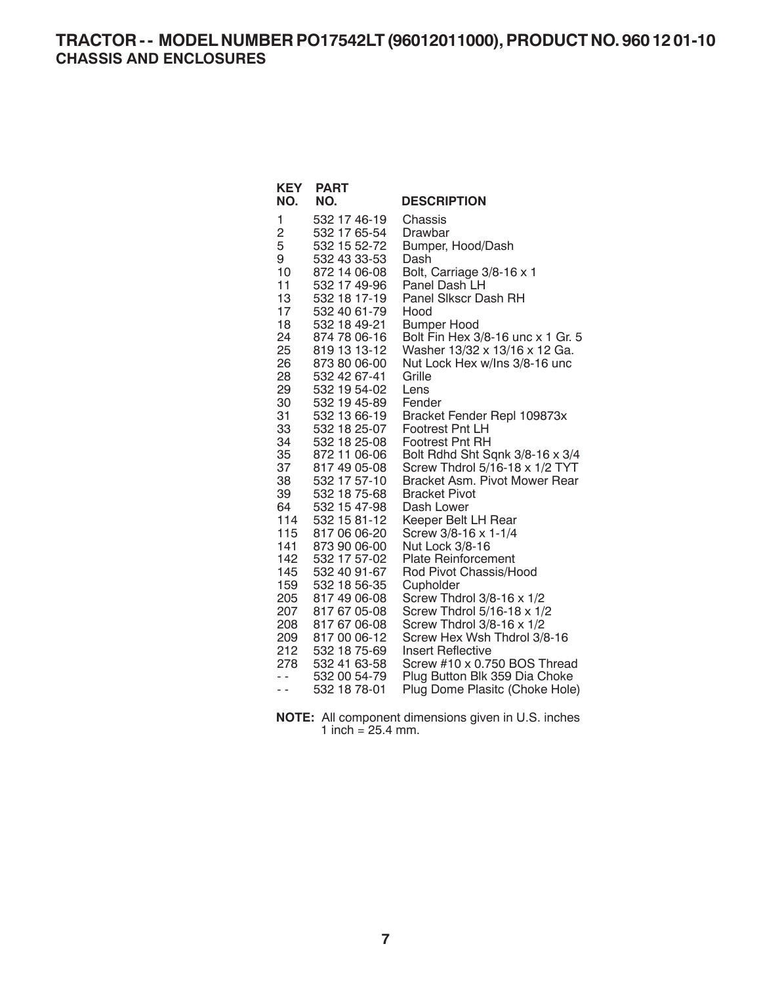| <b>KEY</b><br>NO. | <b>PART</b><br>NO.           | <b>DESCRIPTION</b>                                      |
|-------------------|------------------------------|---------------------------------------------------------|
| 1                 | 532 17 46-19                 | Chassis                                                 |
| 2                 | 532 17 65-54                 | Drawbar                                                 |
| 5                 | 532 15 52-72                 | Bumper, Hood/Dash                                       |
| 9                 | 532 43 33-53                 | Dash                                                    |
| 10                | 872 14 06-08                 | Bolt, Carriage 3/8-16 x 1                               |
| 11                | 532 17 49-96                 | Panel Dash LH                                           |
| 13                | 532 18 17-19                 | Panel Sikscr Dash RH                                    |
| 17                | 532 40 61-79                 | Hood                                                    |
| 18                | 532 18 49-21                 | <b>Bumper Hood</b>                                      |
| 24                | 874 78 06-16                 | Bolt Fin Hex 3/8-16 unc x 1 Gr. 5                       |
| 25                | 819 13 13-12                 | Washer 13/32 x 13/16 x 12 Ga.                           |
| 26                | 873 80 06-00                 | Nut Lock Hex w/Ins 3/8-16 unc                           |
| 28                | 532 42 67-41                 | Grille<br>Lens                                          |
| 29<br>30          | 532 19 54-02<br>532 19 45-89 | Fender                                                  |
| 31                | 532 13 66-19                 | Bracket Fender Repl 109873x                             |
| 33                | 532 18 25-07                 | <b>Footrest Pnt LH</b>                                  |
| 34                | 532 18 25-08                 | <b>Footrest Pnt RH</b>                                  |
| 35                | 872 11 06-06                 | Bolt Rdhd Sht Sqnk 3/8-16 x 3/4                         |
| 37                | 817 49 05-08                 | Screw Thdrol 5/16-18 x 1/2 TYT                          |
| 38                | 532 17 57-10                 | Bracket Asm. Pivot Mower Rear                           |
| 39                | 532 18 75-68                 | <b>Bracket Pivot</b>                                    |
| 64                | 532 15 47-98                 | Dash Lower                                              |
| 114               | 532 15 81-12                 | Keeper Belt LH Rear                                     |
| 115               | 817 06 06-20                 | Screw 3/8-16 x 1-1/4                                    |
| 141               | 873 90 06-00                 | Nut Lock 3/8-16                                         |
| 142               | 532 17 57-02                 | <b>Plate Reinforcement</b>                              |
| 145               | 532 40 91-67                 | Rod Pivot Chassis/Hood                                  |
| 159               | 532 18 56-35                 | Cupholder                                               |
| 205               | 817 49 06-08                 | Screw Thdrol 3/8-16 x 1/2                               |
| 207<br>208        | 817 67 05-08<br>817 67 06-08 | Screw Thdrol 5/16-18 x 1/2<br>Screw Thdrol 3/8-16 x 1/2 |
| 209               | 817 00 06-12                 | Screw Hex Wsh Thdrol 3/8-16                             |
| 212               | 532 18 75-69                 | <b>Insert Reflective</b>                                |
| 278               | 532 41 63-58                 | Screw #10 x 0.750 BOS Thread                            |
| $ -$              | 532 00 54-79                 | Plug Button Blk 359 Dia Choke                           |
| - -               | 532 18 78-01                 | Plug Dome Plasitc (Choke Hole)                          |
|                   |                              |                                                         |

**NOTE:** All component dimensions given in U.S. inches 1 inch =  $25.4$  mm.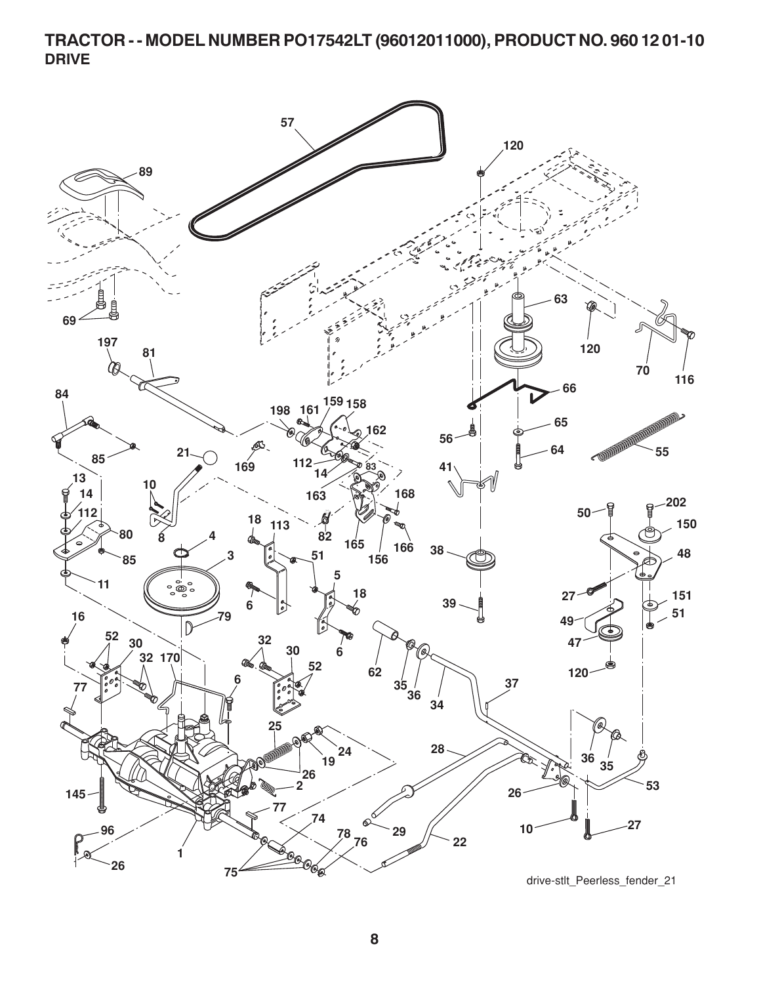**TRACTOR - - MODEL NUMBER PO17542LT (96012011000), PRODUCT NO. 960 12 01-10 DRIVE**

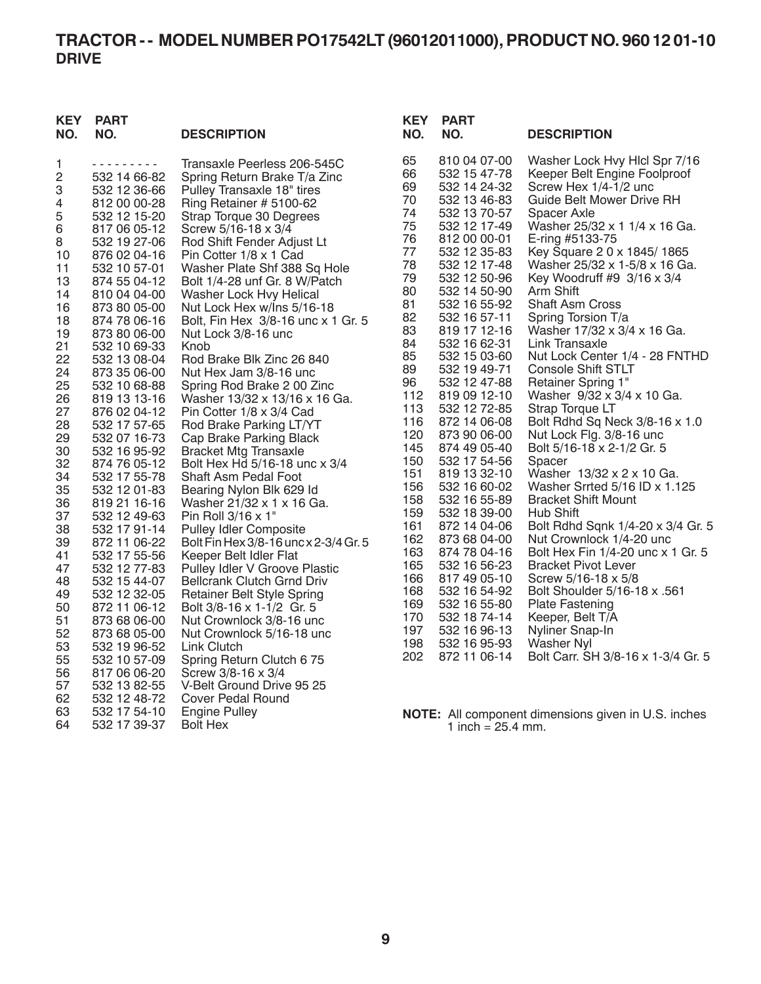# **TRACTOR - - MODEL NUMBER PO17542LT (96012011000), PRODUCT NO. 960 12 01-10 DRIVE**

| <b>KEY</b><br>NO. | <b>PART</b><br>NO.           | <b>DESCRIPTION</b>                                        | <b>KEY</b><br>NO. | <b>PART</b><br>NO.           | <b>DESCRIPTION</b>                                      |
|-------------------|------------------------------|-----------------------------------------------------------|-------------------|------------------------------|---------------------------------------------------------|
| 1                 | - - - - - - - - -            | Transaxle Peerless 206-545C                               | 65                | 810 04 07-00                 | Washer Lock Hvy Hlcl Spr 7/16                           |
| $\mathbf 2$       | 532 14 66-82                 | Spring Return Brake T/a Zinc                              | 66                | 532 15 47-78                 | Keeper Belt Engine Foolproof                            |
| 3                 | 532 12 36-66                 | Pulley Transaxle 18" tires                                | 69                | 532 14 24-32                 | Screw Hex 1/4-1/2 unc                                   |
| 4                 | 812 00 00-28                 | Ring Retainer # 5100-62                                   | 70                | 532 13 46-83                 | Guide Belt Mower Drive RH                               |
| 5                 | 532 12 15-20                 | Strap Torque 30 Degrees                                   | 74                | 532 13 70-57                 | Spacer Axle                                             |
| 6                 | 817 06 05-12                 | Screw 5/16-18 x 3/4                                       | 75                | 532 12 17-49                 | Washer 25/32 x 1 1/4 x 16 Ga.                           |
| 8                 | 532 19 27-06                 | Rod Shift Fender Adjust Lt                                | 76                | 812 00 00-01                 | E-ring #5133-75                                         |
| 10                | 876 02 04-16                 | Pin Cotter 1/8 x 1 Cad                                    | 77                | 532 12 35-83                 | Key Square 2 0 x 1845/1865                              |
| 11                | 532 10 57-01                 | Washer Plate Shf 388 Sq Hole                              | 78                | 532 12 17-48                 | Washer 25/32 x 1-5/8 x 16 Ga.                           |
| 13                | 874 55 04-12                 | Bolt 1/4-28 unf Gr. 8 W/Patch                             | 79                | 532 12 50-96                 | Key Woodruff #9 3/16 x 3/4                              |
| 14                | 810 04 04-00                 | Washer Lock Hvy Helical                                   | 80                | 532 14 50-90                 | Arm Shift                                               |
| 16                | 873 80 05-00                 | Nut Lock Hex w/Ins 5/16-18                                | 81                | 532 16 55-92                 | <b>Shaft Asm Cross</b>                                  |
| 18                | 874 78 06-16                 | Bolt, Fin Hex 3/8-16 unc x 1 Gr. 5                        | 82                | 532 16 57-11                 | Spring Torsion T/a                                      |
| 19                | 873 80 06-00                 | Nut Lock 3/8-16 unc                                       | 83                | 819 17 12-16                 | Washer 17/32 x 3/4 x 16 Ga.                             |
| 21                | 532 10 69-33                 | Knob                                                      | 84<br>85          | 532 16 62-31<br>532 15 03-60 | Link Transaxle<br>Nut Lock Center 1/4 - 28 FNTHD        |
| 22                | 532 13 08-04                 | Rod Brake Blk Zinc 26 840                                 | 89                | 532 19 49-71                 | <b>Console Shift STLT</b>                               |
| 24                | 873 35 06-00                 | Nut Hex Jam 3/8-16 unc                                    | 96                | 532 12 47-88                 | Retainer Spring 1"                                      |
| 25                | 532 10 68-88                 | Spring Rod Brake 2 00 Zinc                                | 112               | 819 09 12-10                 | Washer 9/32 x 3/4 x 10 Ga.                              |
| 26                | 819 13 13-16                 | Washer 13/32 x 13/16 x 16 Ga.<br>Pin Cotter 1/8 x 3/4 Cad | 113               | 532 12 72-85                 | Strap Torque LT                                         |
| 27<br>28          | 876 02 04-12<br>532 17 57-65 | Rod Brake Parking LT/YT                                   | 116               | 872 14 06-08                 | Bolt Rdhd Sq Neck 3/8-16 x 1.0                          |
| 29                | 532 07 16-73                 | Cap Brake Parking Black                                   | 120               | 873 90 06-00                 | Nut Lock Flg. 3/8-16 unc                                |
| 30                | 532 16 95-92                 | <b>Bracket Mtg Transaxle</b>                              | 145               | 874 49 05-40                 | Bolt 5/16-18 x 2-1/2 Gr. 5                              |
| 32                | 874 76 05-12                 | Bolt Hex Hd 5/16-18 unc x 3/4                             | 150               | 532 17 54-56                 | Spacer                                                  |
| 34                | 532 17 55-78                 | Shaft Asm Pedal Foot                                      | 151               | 819 13 32-10                 | Washer 13/32 x 2 x 10 Ga.                               |
| 35                | 532 12 01-83                 | Bearing Nylon Blk 629 Id                                  | 156               | 532 16 60-02                 | Washer Srrted 5/16 ID x 1.125                           |
| 36                | 819 21 16-16                 | Washer 21/32 x 1 x 16 Ga.                                 | 158               | 532 16 55-89                 | <b>Bracket Shift Mount</b>                              |
| 37                | 532 12 49-63                 | Pin Roll 3/16 x 1"                                        | 159               | 532 18 39-00                 | Hub Shift                                               |
| 38                | 532 17 91-14                 | <b>Pulley Idler Composite</b>                             | 161               | 872 14 04-06                 | Bolt Rdhd Sqnk 1/4-20 x 3/4 Gr. 5                       |
| 39                | 872 11 06-22                 | Bolt Fin Hex 3/8-16 unc x 2-3/4 Gr. 5                     | 162               | 873 68 04-00                 | Nut Crownlock 1/4-20 unc                                |
| 41                | 532 17 55-56                 | Keeper Belt Idler Flat                                    | 163               | 874 78 04-16                 | Bolt Hex Fin 1/4-20 unc x 1 Gr. 5                       |
| 47                | 532 12 77-83                 | Pulley Idler V Groove Plastic                             | 165               | 532 16 56-23                 | <b>Bracket Pivot Lever</b>                              |
| 48                | 532 15 44-07                 | <b>Bellcrank Clutch Grnd Driv</b>                         | 166               | 817 49 05-10                 | Screw $5/16 - 18 \times 5/8$                            |
| 49                | 532 12 32-05                 | Retainer Belt Style Spring                                | 168               | 532 16 54-92                 | Bolt Shoulder 5/16-18 x .561                            |
| 50                | 872 11 06-12                 | Bolt 3/8-16 x 1-1/2 Gr. 5                                 | 169               | 532 16 55-80                 | <b>Plate Fastening</b>                                  |
| 51                | 873 68 06-00                 | Nut Crownlock 3/8-16 unc                                  | 170               | 532 18 74-14                 | Keeper, Belt T/A                                        |
| 52                | 873 68 05-00                 | Nut Crownlock 5/16-18 unc                                 | 197<br>198        | 532 16 96-13<br>532 16 95-93 | Nyliner Snap-In                                         |
| 53                | 532 19 96-52                 | Link Clutch                                               | 202               | 872 11 06-14                 | <b>Washer Nyl</b><br>Bolt Carr. SH 3/8-16 x 1-3/4 Gr. 5 |
| 55                | 532 10 57-09                 | Spring Return Clutch 675                                  |                   |                              |                                                         |
| 56                | 817 06 06-20                 | Screw 3/8-16 x 3/4                                        |                   |                              |                                                         |
| 57                | 532 13 82-55                 | V-Belt Ground Drive 95 25                                 |                   |                              |                                                         |
| 62                | 532 12 48-72                 | <b>Cover Pedal Round</b>                                  |                   |                              |                                                         |
| 63                | 532 17 54-10                 | <b>Engine Pulley</b>                                      |                   |                              | NOTE: All component dimensions given in U.S. inches     |
| 64                | 532 17 39-37                 | <b>Bolt Hex</b>                                           |                   | 1 inch = $25.4$ mm.          |                                                         |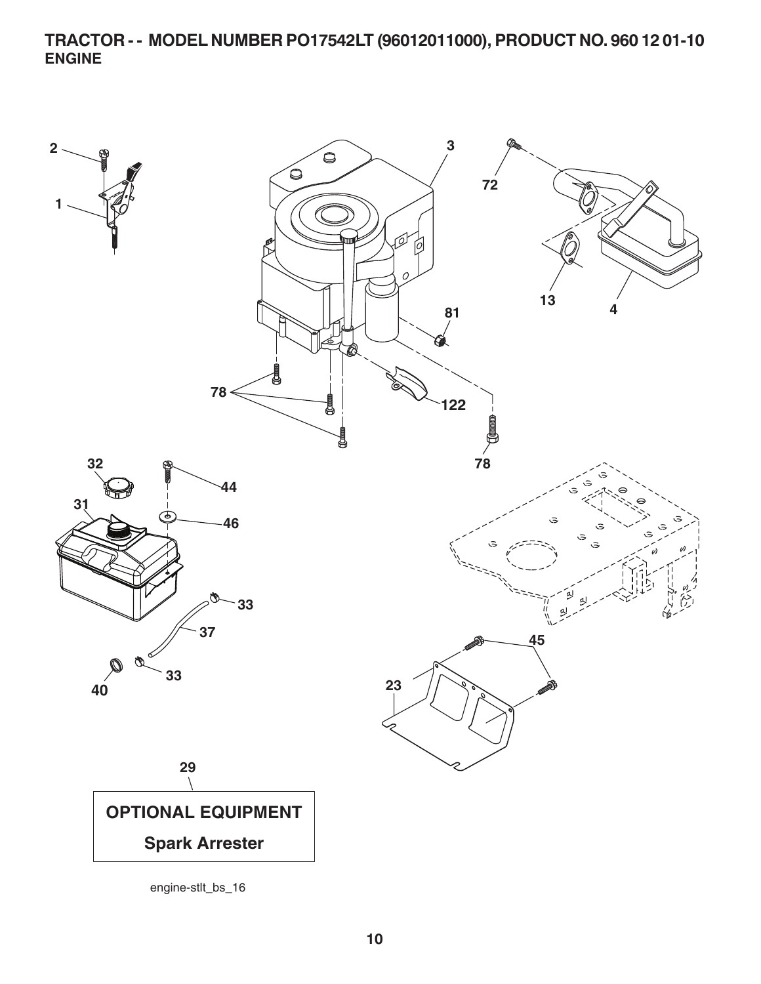**TRACTOR - - MODEL NUMBER PO17542LT (96012011000), PRODUCT NO. 960 12 01-10 ENGINE**

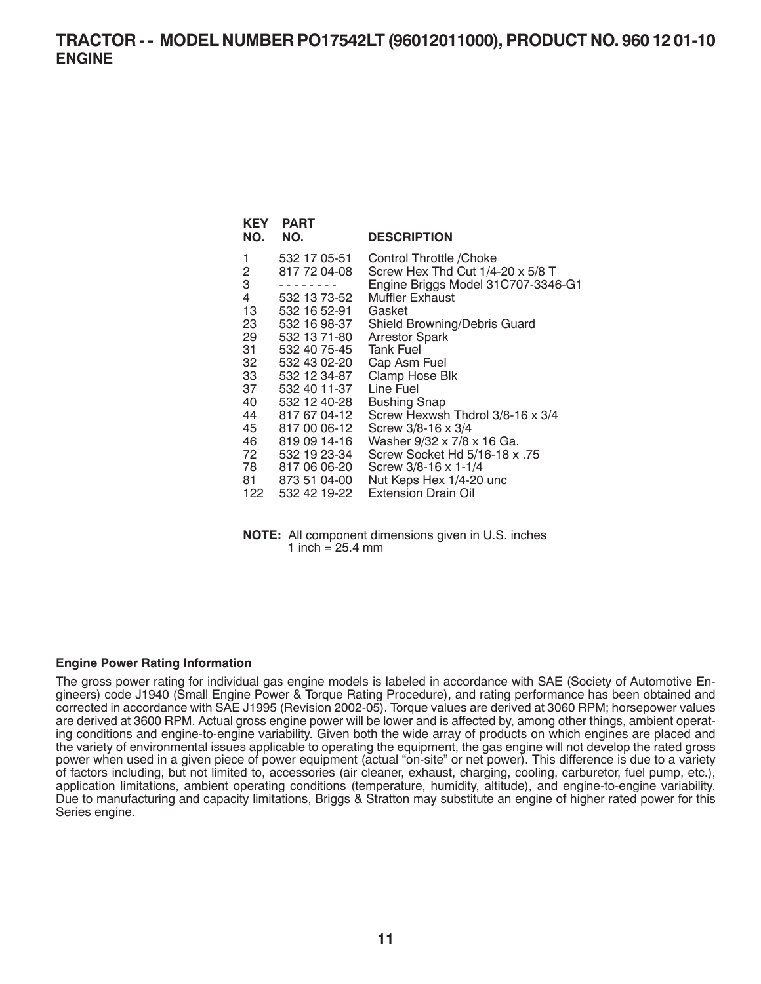| KEY<br>NO. | <b>PART</b><br>NO. | <b>DESCRIPTION</b>                 |
|------------|--------------------|------------------------------------|
| 1          | 532 17 05-51       | Control Throttle /Choke            |
| 2          | 817 72 04-08       | Screw Hex Thd Cut 1/4-20 x 5/8 T   |
| 3          |                    | Engine Briggs Model 31C707-3346-G1 |
| 4          | 532 13 73-52       | Muffler Exhaust                    |
| 13         | 532 16 52-91       | Gasket                             |
| 23         | 532 16 98-37       | Shield Browning/Debris Guard       |
| 29         | 532 13 71-80       | <b>Arrestor Spark</b>              |
| 31         | 532 40 75-45       | <b>Tank Fuel</b>                   |
| 32         | 532 43 02-20       | Cap Asm Fuel                       |
| 33         | 532 12 34-87       | Clamp Hose Blk                     |
| 37         | 532 40 11-37       | Line Fuel                          |
| 40         | 532 12 40-28       | Bushing Snap                       |
| 44         | 817 67 04-12       | Screw Hexwsh Thdrol 3/8-16 x 3/4   |
| 45         | 817 00 06-12       | Screw 3/8-16 x 3/4                 |
| 46         | 819 09 14-16       | Washer 9/32 x 7/8 x 16 Ga.         |
| 72         | 532 19 23-34       | Screw Socket Hd 5/16-18 x .75      |
| 78 —       | 817 06 06-20       | Screw 3/8-16 x 1-1/4               |
| 81 —       | 873 51 04-00       | Nut Keps Hex 1/4-20 unc            |
| 122        | 532 42 19-22       | <b>Extension Drain Oil</b>         |

**NOTE:** All component dimensions given in U.S. inches 1 inch =  $25.4$  mm

#### **Engine Power Rating Information**

The gross power rating for individual gas engine models is labeled in accordance with SAE (Society of Automotive Engineers) code J1940 (Small Engine Power & Torque Rating Procedure), and rating performance has been obtained and corrected in accordance with SAE J1995 (Revision 2002-05). Torque values are derived at 3060 RPM; horsepower values are derived at 3600 RPM. Actual gross engine power will be lower and is affected by, among other things, ambient operating conditions and engine-to-engine variability. Given both the wide array of products on which engines are placed and the variety of environmental issues applicable to operating the equipment, the gas engine will not develop the rated gross power when used in a given piece of power equipment (actual "on-site" or net power). This difference is due to a variety of factors including, but not limited to, accessories (air cleaner, exhaust, charging, cooling, carburetor, fuel pump, etc.), application limitations, ambient operating conditions (temperature, humidity, altitude), and engine-to-engine variability. Due to manufacturing and capacity limitations, Briggs & Stratton may substitute an engine of higher rated power for this Series engine.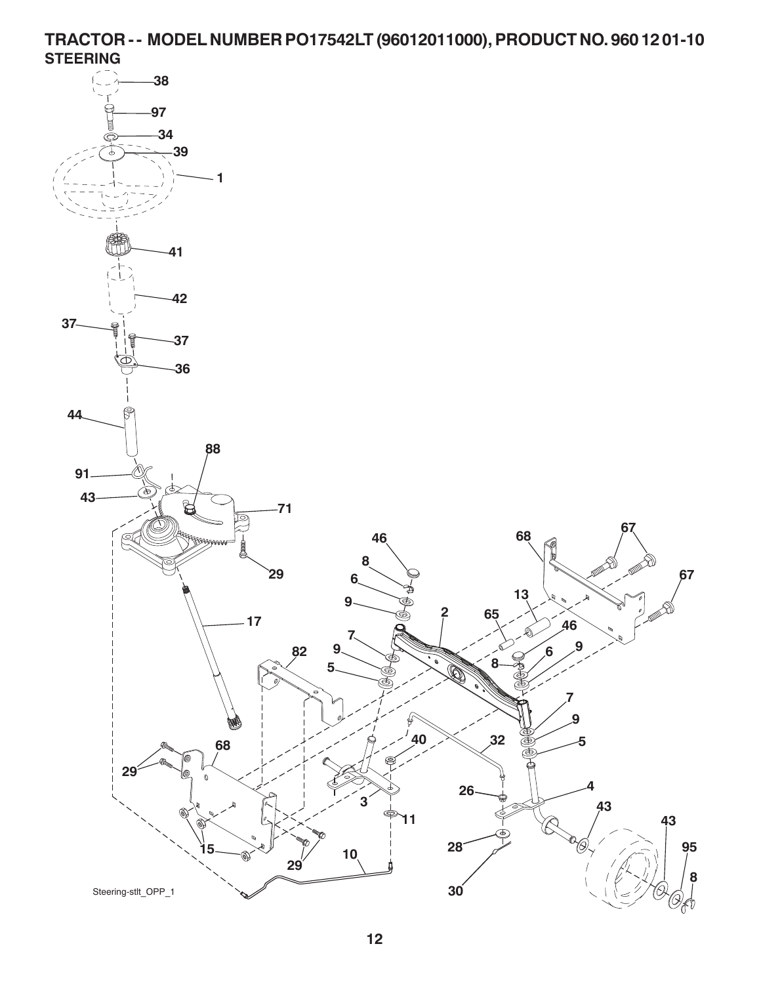**TRACTOR - - MODEL NUMBER PO17542LT (96012011000), PRODUCT NO. 960 12 01-10 STEERING**

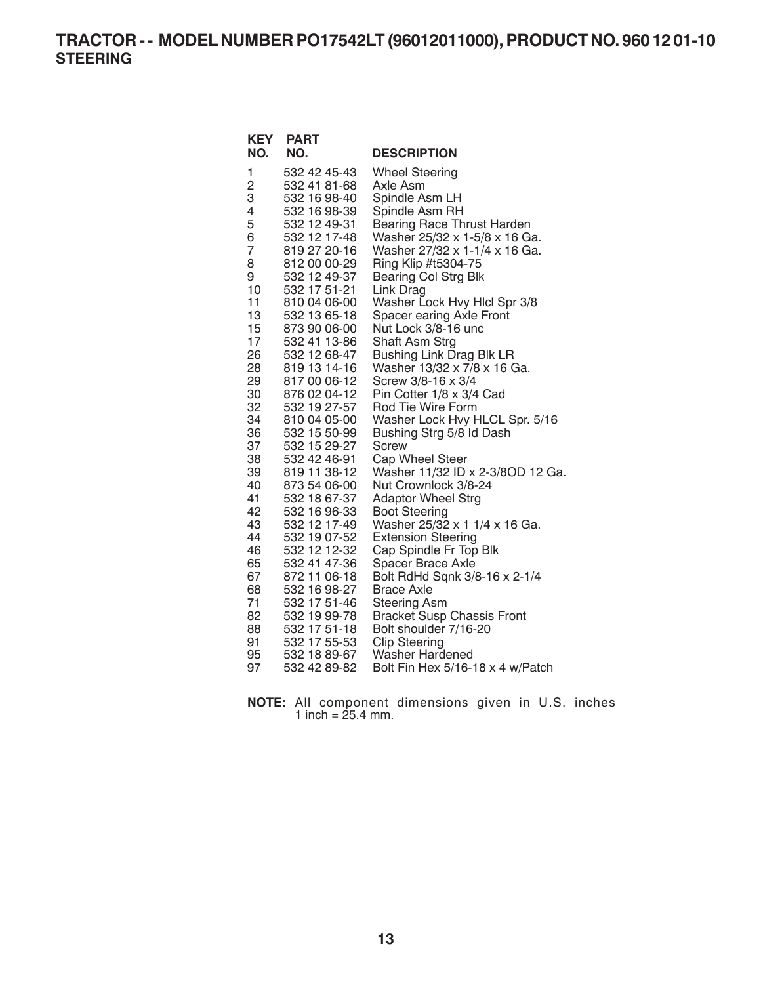**TRACTOR - - MODEL NUMBER PO17542LT (96012011000), PRODUCT NO. 960 12 01-10 STEERING**

| <b>KEY</b> | <b>PART</b>                  |                                                   |
|------------|------------------------------|---------------------------------------------------|
| NO.        | NO.                          | <b>DESCRIPTION</b>                                |
| 1          | 532 42 45-43                 | <b>Wheel Steering</b>                             |
| 2          | 532 41 81-68                 | Axle Asm                                          |
| 3          | 532 16 98-40                 | Spindle Asm LH                                    |
| 4          | 532 16 98-39                 | Spindle Asm RH                                    |
| 5          | 532 12 49-31                 | <b>Bearing Race Thrust Harden</b>                 |
| 6          | 532 12 17-48                 | Washer 25/32 x 1-5/8 x 16 Ga.                     |
| 7          | 819 27 20-16                 | Washer 27/32 x 1-1/4 x 16 Ga.                     |
| 8          | 812 00 00-29                 | Ring Klip #t5304-75                               |
| 9<br>10    | 532 12 49-37<br>532 17 51-21 | <b>Bearing Col Strg Blk</b>                       |
| 11         | 810 04 06-00                 | Link Drag<br>Washer Lock Hvy Hicl Spr 3/8         |
| 13         | 532 13 65-18                 | Spacer earing Axle Front                          |
| 15         | 873 90 06-00                 | Nut Lock 3/8-16 unc                               |
| 17         | 532 41 13-86                 | Shaft Asm Strg                                    |
| 26         | 532 12 68-47                 | <b>Bushing Link Drag Blk LR</b>                   |
| 28         | 819 13 14-16                 | Washer 13/32 x 7/8 x 16 Ga.                       |
| 29         | 817 00 06-12                 | Screw 3/8-16 x 3/4                                |
| 30         | 876 02 04-12                 | Pin Cotter 1/8 x 3/4 Cad                          |
| 32         | 532 19 27-57                 | Rod Tie Wire Form                                 |
| 34         | 810 04 05-00                 | Washer Lock Hvy HLCL Spr. 5/16                    |
| 36         | 532 15 50-99                 | Bushing Strg 5/8 ld Dash                          |
| 37         | 532 15 29-27                 | <b>Screw</b>                                      |
| 38         | 532 42 46-91                 | Cap Wheel Steer                                   |
| 39<br>40   | 819 11 38-12<br>873 54 06-00 | Washer 11/32 ID x 2-3/8OD 12 Ga.                  |
| 41         | 532 18 67-37                 | Nut Crownlock 3/8-24<br><b>Adaptor Wheel Strg</b> |
| 42         | 532 16 96-33                 | <b>Boot Steering</b>                              |
| 43         | 532 12 17-49                 | Washer 25/32 x 1 1/4 x 16 Ga.                     |
| 44         | 532 19 07-52                 | <b>Extension Steering</b>                         |
| 46         | 532 12 12-32                 | Cap Spindle Fr Top Blk                            |
| 65         | 532 41 47-36                 | Spacer Brace Axle                                 |
| 67         | 872 11 06-18                 | Bolt RdHd Sqnk 3/8-16 x 2-1/4                     |
| 68         | 532 16 98-27                 | <b>Brace Axle</b>                                 |
| 71         | 532 17 51-46                 | <b>Steering Asm</b>                               |
| 82         | 532 19 99-78                 | <b>Bracket Susp Chassis Front</b>                 |
| 88         | 532 17 51-18                 | Bolt shoulder 7/16-20                             |
| 91         | 532 17 55-53                 | <b>Clip Steering</b>                              |
| 95         | 532 18 89-67                 | Washer Hardened                                   |
| 97         | 532 42 89-82                 | Bolt Fin Hex 5/16-18 x 4 w/Patch                  |

**NOTE:** All component dimensions given in U.S. inches 1 inch =  $25.4$  mm.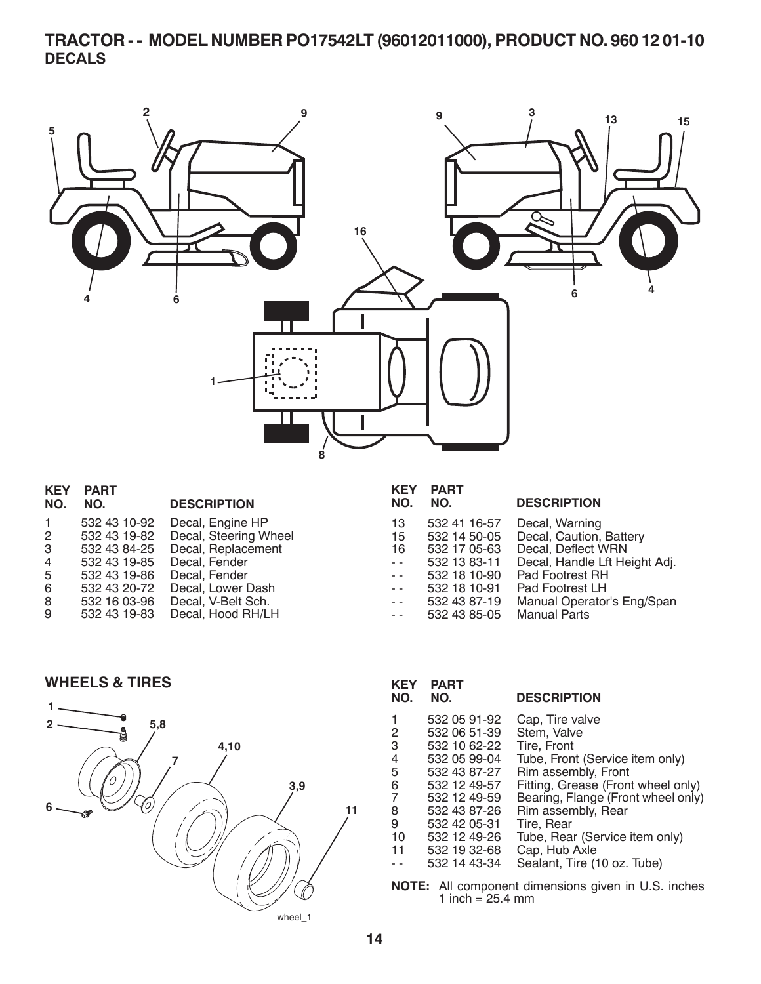# **TRACTOR - - MODEL NUMBER PO17542LT (96012011000), PRODUCT NO. 960 12 01-10 DECALS**



| <b>KEY</b>     | <b>PART</b>  |                       | <b>KEY</b>           | <b>PART</b>  |                               |
|----------------|--------------|-----------------------|----------------------|--------------|-------------------------------|
| NO.            | NO.          | <b>DESCRIPTION</b>    | NO.                  | NO.          | <b>DESCRIPTION</b>            |
|                | 532 43 10-92 | Decal, Engine HP      | 13                   | 532 41 16-57 | Decal, Warning                |
| $\overline{2}$ | 532 43 19-82 | Decal, Steering Wheel | 15                   | 532 14 50-05 | Decal, Caution, Battery       |
| 3 <sup>1</sup> | 532 43 84-25 | Decal, Replacement    | 16                   | 532 17 05-63 | Decal, Deflect WRN            |
| 4              | 532 43 19-85 | Decal, Fender         | $\sim$ $\sim$ $\sim$ | 532 13 83-11 | Decal, Handle Lft Height Adj. |
| 5              | 532 43 19-86 | Decal, Fender         | $\sim$ $ \sim$       | 532 18 10-90 | Pad Footrest RH               |
| 6              | 532 43 20-72 | Decal, Lower Dash     | $\sim$ $\sim$        | 532 18 10-91 | Pad Footrest LH               |
| 8              | 532 16 03-96 | Decal, V-Belt Sch.    | $\sim$ $\sim$ $\sim$ | 532 43 87-19 | Manual Operator's Eng/Span    |
| 9              | 532 43 19-83 | Decal, Hood RH/LH     | $\sim$ $\sim$ $\sim$ | 532 43 85-05 | <b>Manual Parts</b>           |

**WHEELS & TIRES**



| <b>PART</b><br>NO. | <b>DESCRIPTION</b>                 |
|--------------------|------------------------------------|
| 532 05 91-92       | Cap, Tire valve                    |
| 532 06 51-39       | Stem, Valve                        |
| 532 10 62-22       | Tire, Front                        |
| 532 05 99-04       | Tube, Front (Service item only)    |
| 532 43 87-27       | Rim assembly, Front                |
| 532 12 49-57       | Fitting, Grease (Front wheel only) |
| 532 12 49-59       | Bearing, Flange (Front wheel only) |
| 532 43 87-26       | Rim assembly, Rear                 |
| 532 42 05-31       | Tire, Rear                         |
| 532 12 49-26       | Tube, Rear (Service item only)     |
| 532 19 32-68       | Cap, Hub Axle                      |
| 532 14 43-34       | Sealant, Tire (10 oz. Tube)        |
|                    |                                    |

**NOTE:** All component dimensions given in U.S. inches 1 inch =  $25.4 \, \text{mm}$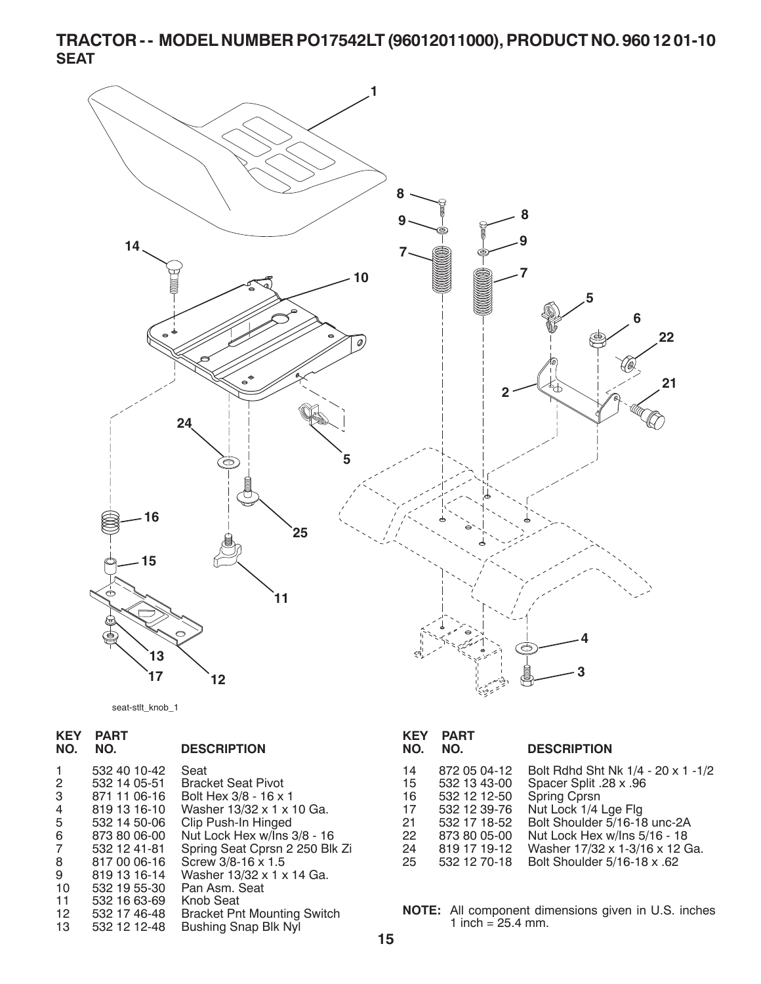**TRACTOR - - MODEL NUMBER PO17542LT (96012011000), PRODUCT NO. 960 12 01-10 SEAT**



seat-stlt\_knob\_1

| <b>KEY</b><br>NO. | <b>PART</b><br>NO. | <b>DESCRIPTION</b>                 |
|-------------------|--------------------|------------------------------------|
| 1                 | 532 40 10-42       | Seat                               |
| 2                 | 532 14 05-51       | <b>Bracket Seat Pivot</b>          |
| 3                 | 871 11 06-16       | Bolt Hex 3/8 - 16 x 1              |
| 4                 | 819 13 16-10       | Washer 13/32 x 1 x 10 Ga.          |
| 5                 | 532 14 50-06       | Clip Push-In Hinged                |
| 6                 | 873 80 06-00       | Nut Lock Hex w/Ins 3/8 - 16        |
| 7                 | 532 12 41-81       | Spring Seat Cprsn 2 250 Blk Zi     |
| 8                 | 817 00 06-16       | Screw 3/8-16 x 1.5                 |
| 9                 | 819 13 16-14       | Washer 13/32 x 1 x 14 Ga.          |
| 10                | 532 19 55-30       | Pan Asm. Seat                      |
| 11                | 532 16 63-69       | Knob Seat                          |
| 12                | 532 17 46-48       | <b>Bracket Pnt Mounting Switch</b> |
| 13                | 532 12 12 - 48     | Bushing Snap Blk Nyl               |

#### 14 872 05 04-12 Bolt Rdhd Sht Nk 1/4 - 20 x 1 -1/2 15 532 13 43-00 Spacer Split .28 x .96<br>16 532 12 12-50 Spring Cprsn 16 532 12 12-50 Spring Cprsn 17 532 12 39-76 Nut Lock 1/4 Lge Flg 21 532 17 18-52 Bolt Shoulder 5/16-18 unc-2A 22 873 80 05-00 Nut Lock Hex w/lns 5/16 - 18<br>24 819 17 19-12 Washer 17/32 x 1-3/16 x 12 G 24 819 17 19-12 Washer 17/32 x 1-3/16 x 12 Ga. 25 532 12 70-18 Bolt Shoul der 5/16-18 x .62 **KEY PART NO. NO. DESCRIPTION**

**NOTE:** All component dimensions given in U.S. inches 1 inch =  $25.4$  mm.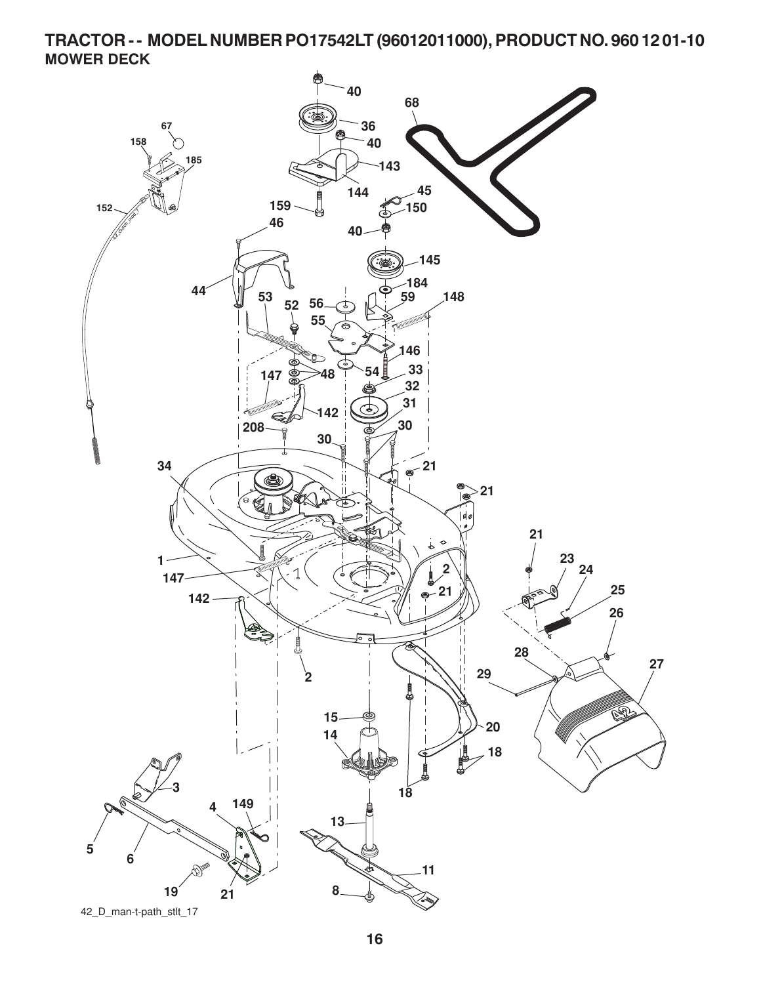**TRACTOR - - MODEL NUMBER PO17542LT (96012011000), PRODUCT NO. 960 12 01-10 MOWER DECK**

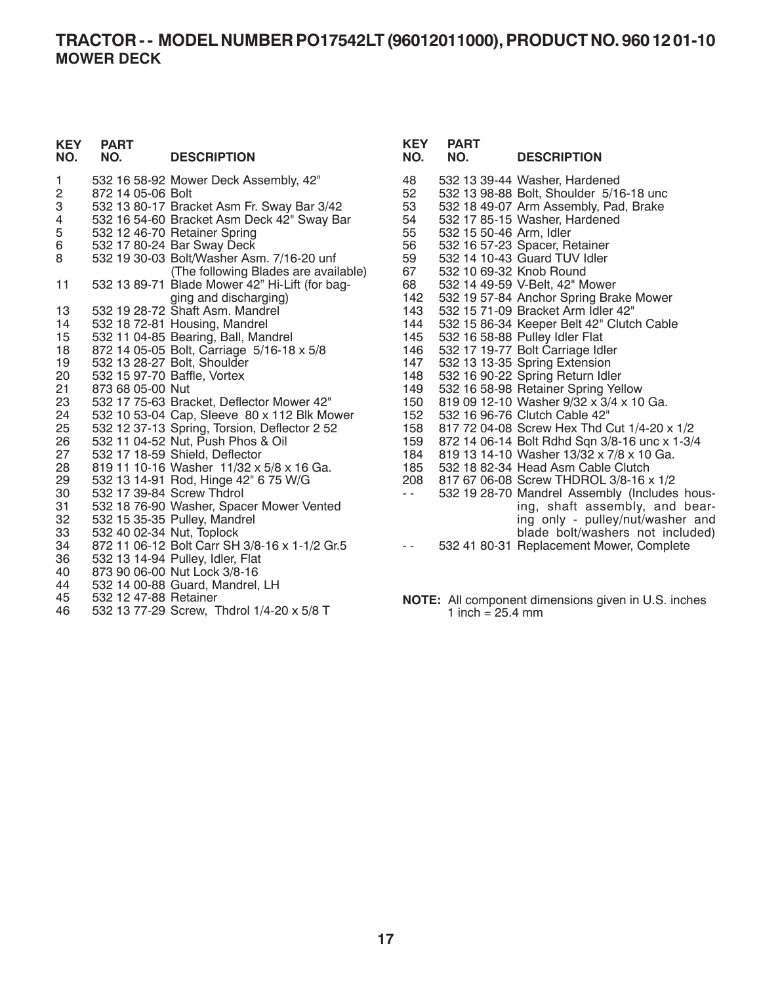### **TRACTOR - - MODEL NUMBER PO17542LT (96012011000), PRODUCT NO. 960 12 01-10 MOWER DECK**

| <b>KEY</b><br>NO. | <b>PART</b><br>NO.        | <b>DESCRIPTION</b>                             | <b>KEY</b><br>NO. | <b>PART</b><br>NO.      | <b>DESCRIPTION</b>                                  |
|-------------------|---------------------------|------------------------------------------------|-------------------|-------------------------|-----------------------------------------------------|
| 1                 |                           | 532 16 58-92 Mower Deck Assembly, 42"          | 48                |                         | 532 13 39-44 Washer, Hardened                       |
| 2                 | 872 14 05-06 Bolt         |                                                | 52                |                         | 532 13 98-88 Bolt, Shoulder 5/16-18 unc             |
| 3                 |                           | 532 13 80-17 Bracket Asm Fr. Sway Bar 3/42     | 53                |                         | 532 18 49-07 Arm Assembly, Pad, Brake               |
| 4                 |                           | 532 16 54-60 Bracket Asm Deck 42" Sway Bar     | 54                |                         | 532 17 85-15 Washer, Hardened                       |
| 5                 |                           | 532 12 46-70 Retainer Spring                   | 55                | 532 15 50-46 Arm, Idler |                                                     |
| 6                 |                           | 532 17 80-24 Bar Sway Deck                     | 56                |                         | 532 16 57-23 Spacer, Retainer                       |
| 8                 |                           | 532 19 30-03 Bolt/Washer Asm. 7/16-20 unf      | 59                |                         | 532 14 10-43 Guard TUV Idler                        |
|                   |                           | (The following Blades are available)           | 67                | 532 10 69-32 Knob Round |                                                     |
| 11                |                           | 532 13 89-71 Blade Mower 42" Hi-Lift (for bag- | 68                |                         | 532 14 49-59 V-Belt, 42" Mower                      |
|                   |                           | ging and discharging)                          | 142               |                         | 532 19 57-84 Anchor Spring Brake Mower              |
| 13                |                           | 532 19 28-72 Shaft Asm. Mandrel                | 143               |                         | 532 15 71-09 Bracket Arm Idler 42"                  |
| 14                |                           | 532 18 72-81 Housing, Mandrel                  | 144               |                         | 532 15 86-34 Keeper Belt 42" Clutch Cable           |
| 15                |                           | 532 11 04-85 Bearing, Ball, Mandrel            | 145               |                         | 532 16 58-88 Pulley Idler Flat                      |
| 18                |                           | 872 14 05-05 Bolt, Carriage 5/16-18 x 5/8      | 146               |                         | 532 17 19-77 Bolt Carriage Idler                    |
| 19                |                           | 532 13 28-27 Bolt, Shoulder                    | 147               |                         | 532 13 13-35 Spring Extension                       |
| 20                |                           | 532 15 97-70 Baffle, Vortex                    | 148               |                         | 532 16 90-22 Spring Return Idler                    |
| 21                | 873 68 05-00 Nut          |                                                | 149               |                         | 532 16 58-98 Retainer Spring Yellow                 |
| 23                |                           | 532 17 75-63 Bracket, Deflector Mower 42"      | 150               |                         | 819 09 12-10 Washer 9/32 x 3/4 x 10 Ga.             |
| 24                |                           | 532 10 53-04 Cap, Sleeve 80 x 112 Blk Mower    | 152               |                         | 532 16 96-76 Clutch Cable 42"                       |
| 25                |                           | 532 12 37-13 Spring, Torsion, Deflector 2 52   | 158               |                         | 817 72 04-08 Screw Hex Thd Cut 1/4-20 x 1/2         |
| 26                |                           | 532 11 04-52 Nut, Push Phos & Oil              | 159               |                         | 872 14 06-14 Bolt Rdhd Sqn 3/8-16 unc x 1-3/4       |
| 27                |                           | 532 17 18-59 Shield, Deflector                 | 184               |                         | 819 13 14-10 Washer 13/32 x 7/8 x 10 Ga.            |
| 28                |                           | 819 11 10-16 Washer 11/32 x 5/8 x 16 Ga.       | 185               |                         | 532 18 82-34 Head Asm Cable Clutch                  |
| 29                |                           | 532 13 14-91 Rod, Hinge 42" 6 75 W/G           | 208               |                         | 817 67 06-08 Screw THDROL 3/8-16 x 1/2              |
| 30                |                           | 532 17 39-84 Screw Thdrol                      | $\sim$ $\sim$ .   |                         | 532 19 28-70 Mandrel Assembly (Includes hous-       |
| 31                |                           | 532 18 76-90 Washer, Spacer Mower Vented       |                   |                         | ing, shaft assembly, and bear-                      |
| 32                |                           | 532 15 35-35 Pulley, Mandrel                   |                   |                         | ing only - pulley/nut/washer and                    |
| 33                | 532 40 02-34 Nut, Toplock |                                                |                   |                         | blade bolt/washers not included)                    |
| 34                |                           | 872 11 06-12 Bolt Carr SH 3/8-16 x 1-1/2 Gr.5  | $\sim$ $\sim$     |                         | 532 41 80-31 Replacement Mower, Complete            |
| 36                |                           | 532 13 14-94 Pulley, Idler, Flat               |                   |                         |                                                     |
| 40                |                           | 873 90 06-00 Nut Lock 3/8-16                   |                   |                         |                                                     |
| 44                |                           | 532 14 00-88 Guard, Mandrel, LH                |                   |                         |                                                     |
| 45                | 532 12 47-88 Retainer     |                                                |                   |                         | NOTE: All component dimensions given in U.S. inches |

1 inch =  $25.4 \text{ mm}$ 

45 532 12 47-66 Retailler<br>46 532 13 77-29 Screw. 532 13 77-29 Screw, Thdrol 1/4-20 x 5/8 T

**17**